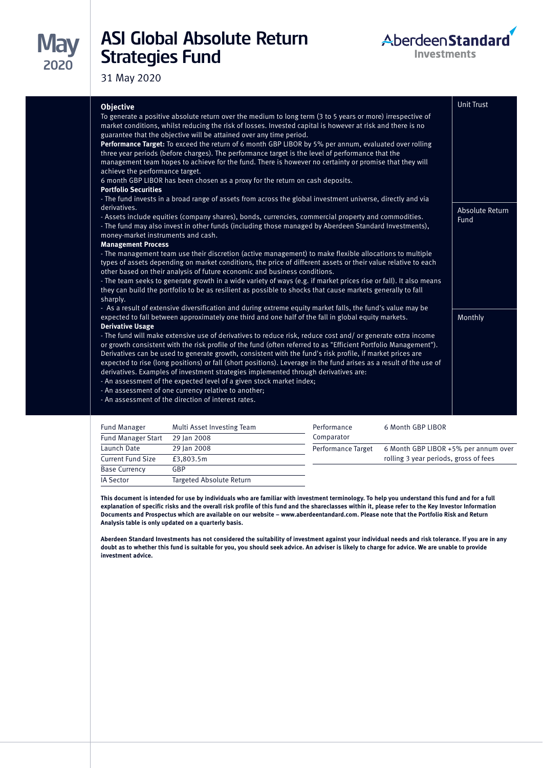# ASI Global Absolute Return Strategies Fund



31 May 2020

| <b>Current Fund Size</b> | £3,803.5m                |
|--------------------------|--------------------------|
| <b>Base Currency</b>     | GBP                      |
| IA Sector                | Targeted Absolute Return |

Launch Date 29 Jan 2008

| Performance<br>Comparator | 6 Month GBP LIBOR                                                             |
|---------------------------|-------------------------------------------------------------------------------|
| <b>Performance Target</b> | 6 Month GBP LIBOR +5% per annum over<br>rolling 3 year periods, gross of fees |
|                           |                                                                               |

**This document is intended for use by individuals who are familiar with investment terminology. To help you understand this fund and for a full explanation of specific risks and the overall risk profile of this fund and the shareclasses within it, please refer to the Key Investor Information Documents and Prospectus which are available on our website – www.aberdeentandard.com. Please note that the Portfolio Risk and Return Analysis table is only updated on a quarterly basis.**

**Aberdeen Standard Investments has not considered the suitability of investment against your individual needs and risk tolerance. If you are in any doubt as to whether this fund is suitable for you, you should seek advice. An adviser is likely to charge for advice. We are unable to provide investment advice.**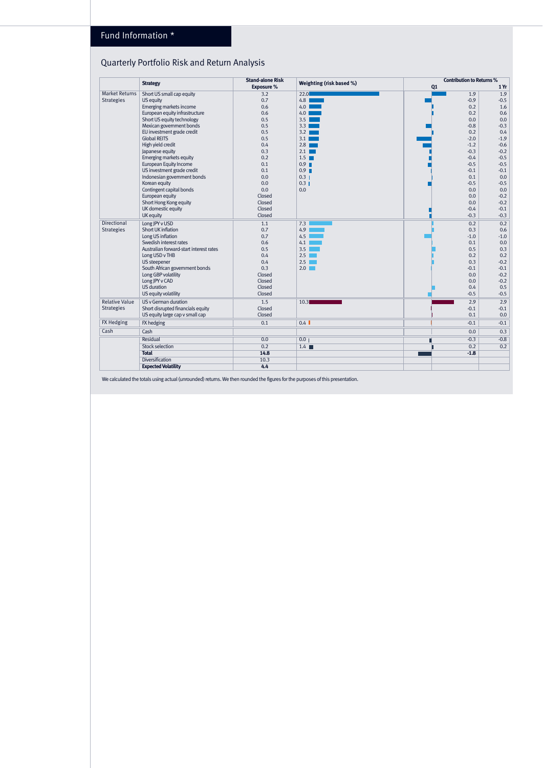## Fund Information \*

# Quarterly Portfolio Risk and Return Analysis

|                       | <b>Strategy</b>                         | <b>Stand-alone Risk</b> | Weighting (risk based %) | <b>Contribution to Returns %</b> |        |
|-----------------------|-----------------------------------------|-------------------------|--------------------------|----------------------------------|--------|
|                       |                                         | Exposure %              |                          | Q <sub>1</sub>                   | 1Yr    |
| <b>Market Returns</b> | Short US small cap equity               | 3.2                     | 22.0                     | 1.9                              | 1.9    |
| <b>Strategies</b>     | US equity                               | 0.7                     | 4.8                      | $-0.9$                           | $-0.5$ |
|                       | Emerging markets income                 | 0.6                     | 4.0                      | 0.2                              | 1.6    |
|                       | European equity infrastructure          | 0.6                     | 4.0                      | 0.2                              | 0.6    |
|                       | Short US equity technology              | 0.5                     | 3.5                      | 0.0                              | 0.0    |
|                       | Mexican govemment bonds                 | 0.5                     | 3.3                      | $-0.8$                           | $-0.3$ |
|                       | EU investment grade credit              | 0.5                     | 3.2                      | 0.2                              | 0.4    |
|                       | <b>Global REITS</b>                     | 0.5                     | 3.1                      | $-2.0$                           | $-1.9$ |
|                       | High yield credit                       | 0.4                     | 2.8                      | $-1.2$                           | $-0.6$ |
|                       | Japanese equity                         | 0.3                     | 2.1                      | $-0.3$                           | $-0.2$ |
|                       | Emerging markets equity                 | 0.2                     | 1.5 <sub>1</sub>         | $-0.4$                           | $-0.5$ |
|                       | European Equity Income                  | 0.1                     | 0.9                      | $-0.5$                           | $-0.5$ |
|                       | US investment grade credit              | 0.1                     | 0.9                      | $-0.1$                           | $-0.1$ |
|                       | Indonesian government bonds             | 0.0                     | 0.3 <sub>1</sub>         | 0.1                              | 0.0    |
|                       | Korean equity                           | 0.0                     | $0.3$                    | $-0.5$                           | $-0.5$ |
|                       | Contingent capital bonds                | 0.0                     | 0.0                      | 0.0                              | 0.0    |
|                       | European equity                         | Closed                  |                          | 0.0                              | $-0.2$ |
|                       | Short Hong Kong equity                  | Closed                  |                          | 0.0                              | $-0.2$ |
|                       | UK domestic equity                      | Closed                  |                          | $-0.4$                           | $-0.1$ |
|                       | UK equity                               | Closed                  |                          | $-0.3$                           | $-0.3$ |
| Directional           | Long JPY v USD                          | 1.1                     | 7.3                      | 0.2                              | 0.2    |
| <b>Strategies</b>     | Short UK inflation                      | 0.7                     | 4.9                      | 0.3                              | 0.6    |
|                       | Long US inflation                       | 0.7                     | 4.5                      | $-1.0$                           | $-1.0$ |
|                       | Swedish interest rates                  | 0.6                     | 4.1                      | 0.1                              | 0.0    |
|                       | Australian forward-start interest rates | 0.5                     | 3.5                      | 0.5                              | 0.3    |
|                       | Long USD v THB                          | 0.4                     | 2.5                      | 0.2                              | 0.2    |
|                       | US steepener                            | 0.4                     | 2.5                      | 0.3                              | $-0.2$ |
|                       | South African government bonds          | 0.3                     | 2.0                      | $-0.1$                           | $-0.1$ |
|                       | Long GBP volatility                     | Closed                  |                          | 0.0                              | $-0.2$ |
|                       | Long JPY v CAD                          | Closed                  |                          | 0.0                              | $-0.2$ |
|                       | US duration                             | Closed                  |                          | 0.4                              | 0.5    |
|                       | US equity volatility                    | Closed                  |                          | $-0.5$                           | $-0.5$ |
| <b>Relative Value</b> | US v German duration                    | 1.5                     | 10.3                     | 2.9                              | 2.9    |
| <b>Strategies</b>     | Short disrupted financials equity       | Closed                  |                          | $-0.1$                           | $-0.1$ |
|                       | US equity large cap v small cap         | Closed                  |                          | 0.1                              | 0.0    |
| <b>FX Hedging</b>     | FX hedging                              | 0.1                     | 0.4                      | $-0.1$                           | $-0.1$ |
| Cash                  | Cash                                    |                         |                          | 0.0                              | 0.3    |
|                       | Residual                                | 0.0                     | 0.0                      | $-0.3$                           | $-0.8$ |
|                       | <b>Stock selection</b>                  | 0.2                     | 1.4                      | 0.2                              | 0.2    |
|                       | <b>Total</b>                            | 14.8                    |                          | $-1.8$                           |        |
|                       | Diversification                         | 10.3                    |                          |                                  |        |
|                       | <b>Expected Volatility</b>              | 4.4                     |                          |                                  |        |

We calculated the totals using actual (unrounded) returns. We then rounded the figures for the purposes of this presentation.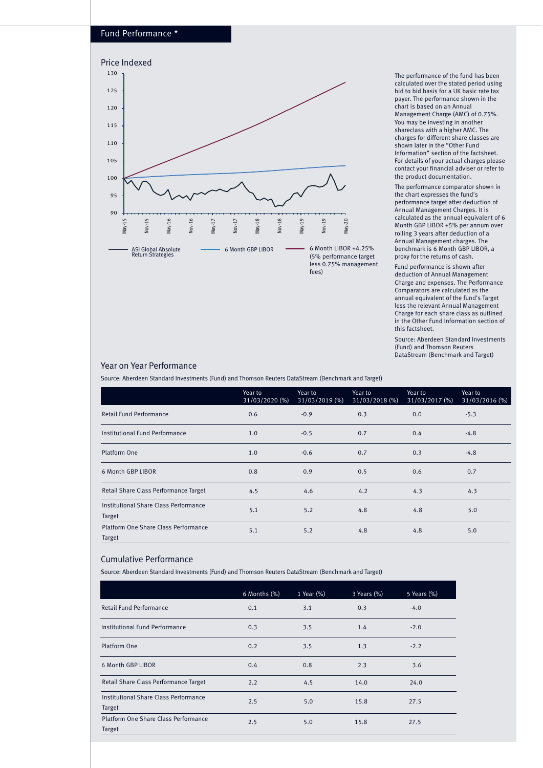#### Fund Performance \*



The performance of the fund has been calculated over the stated period using bid to bid basis for a UK basic rate tax payer. The performance shown in the chart is based on an Annual Management Charge (AMC) of 0.75%. You may be investing in another shareclass with a higher AMC. The charges for different share classes are shown later in the "Other Fund Information" section of the factsheet. For details of your actual charges please contact your financial adviser or refer to the product documentation.

The performance comparator shown in the chart expresses the fund's performance target after deduction of Annual Management Charges. It is calculated as the annual equivalent of 6 Month GBP LIBOR +5% per annum over rolling 3 years after deduction of a Annual Management charges. The benchmark is 6 Month GBP LIBOR, a proxy for the returns of cash.

Fund performance is shown after deduction of Annual Management Charge and expenses. The Performance Comparators are calculated as the annual equivalent of the fund's Target less the relevant Annual Management Charge for each share class as outlined in the Other Fund Information section of this factsheet.

Source: Aberdeen Standard Investments (Fund) and Thomson Reuters DataStream (Benchmark and Target)

### Year on Year Performance

Source: Aberdeen Standard Investments (Fund) and Thomson Reuters DataStream (Benchmark and Target)

|                                                 | Year to<br>31/03/2020 (%) | Year to<br>31/03/2019 (%) | Year to<br>31/03/2018 (%) | Year to<br>31/03/2017 (%) | Year to<br>31/03/2016 (%) |
|-------------------------------------------------|---------------------------|---------------------------|---------------------------|---------------------------|---------------------------|
| Retail Fund Performance                         | 0.6                       | $-0.9$                    | 0.3                       | 0.0                       | $-5.3$                    |
| Institutional Fund Performance                  | 1.0                       | $-0.5$                    | 0.7                       | 0.4                       | $-4.8$                    |
| Platform One                                    | 1.0                       | $-0.6$                    | 0.7                       | 0.3                       | $-4.8$                    |
| 6 Month GBP LIBOR                               | 0.8                       | 0.9                       | 0.5                       | 0.6                       | 0.7                       |
| Retail Share Class Performance Target           | 4.5                       | 4.6                       | 4.2                       | 4.3                       | 4.3                       |
| Institutional Share Class Performance<br>Target | 5.1                       | 5.2                       | 4.8                       | 4.8                       | 5.0                       |
| Platform One Share Class Performance<br>Target  | 5.1                       | 5.2                       | 4.8                       | 4.8                       | 5.0                       |

#### Cumulative Performance

Source: Aberdeen Standard Investments (Fund) and Thomson Reuters DataStream (Benchmark and Target)

|                                                 | 6 Months (%) | 1 Year (%) | 3 Years (%) | 5 Years (%) |
|-------------------------------------------------|--------------|------------|-------------|-------------|
| Retail Fund Performance                         | 0.1          | 3.1        | 0.3         | $-4.0$      |
| Institutional Fund Performance                  | 0.3          | 3.5        | 1.4         | $-2.0$      |
| Platform One                                    | 0.2          | 3.5        | 1.3         | $-2.2$      |
| 6 Month GBP LIBOR                               | 0.4          | 0.8        | 2.3         | 3.6         |
| Retail Share Class Performance Target           | 2.2          | 4.5        | 14.0        | 24.0        |
| Institutional Share Class Performance<br>Target | 2.5          | 5.0        | 15.8        | 27.5        |
| Platform One Share Class Performance<br>Target  | 2.5          | 5.0        | 15.8        | 27.5        |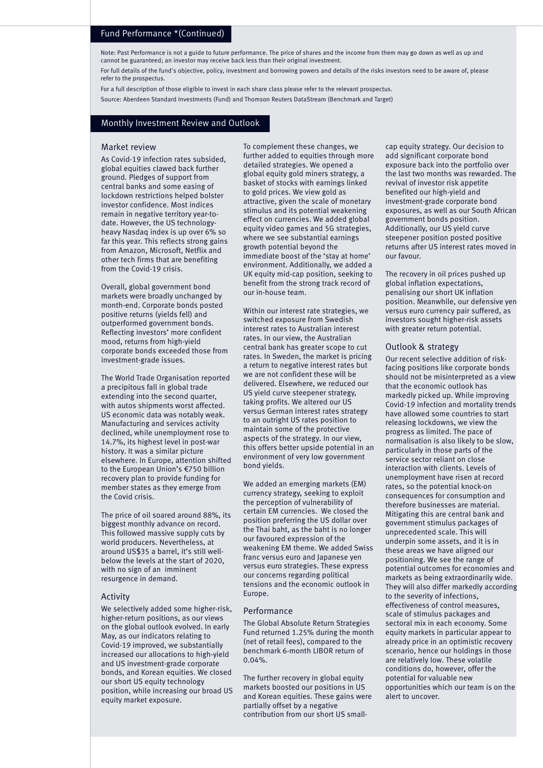#### Fund Performance \*(Continued)

Note: Past Performance is not a guide to future performance. The price of shares and the income from them may go down as well as up and cannot be guaranteed; an investor may receive back less than their original investment.

For full details of the fund's objective, policy, investment and borrowing powers and details of the risks investors need to be aware of, please refer to the prospectus.

For a full description of those eligible to invest in each share class please refer to the relevant prospectus. Source: Aberdeen Standard Investments (Fund) and Thomson Reuters DataStream (Benchmark and Target)

#### Monthly Investment Review and Outlook

#### Market review

As Covid-19 infection rates subsided, global equities clawed back further ground. Pledges of support from central banks and some easing of lockdown restrictions helped bolster investor confidence. Most indices remain in negative territory year-todate. However, the US technologyheavy Nasdaq index is up over 6% so far this year. This reflects strong gains from Amazon, Microsoft, Netflix and other tech firms that are benefiting from the Covid-19 crisis.

Overall, global government bond markets were broadly unchanged by month-end. Corporate bonds posted positive returns (yields fell) and outperformed government bonds. Reflecting investors' more confident mood, returns from high-yield corporate bonds exceeded those from investment-grade issues.

The World Trade Organisation reported a precipitous fall in global trade extending into the second quarter, with autos shipments worst affected. US economic data was notably weak. Manufacturing and services activity declined, while unemployment rose to 14.7%, its highest level in post-war history. It was a similar picture elsewhere. In Europe, attention shifted to the European Union's €750 billion recovery plan to provide funding for member states as they emerge from the Covid crisis.

The price of oil soared around 88%, its biggest monthly advance on record. This followed massive supply cuts by world producers. Nevertheless, at around US\$35 a barrel, it's still wellbelow the levels at the start of 2020, with no sign of an imminent resurgence in demand.

#### Activity

We selectively added some higher-risk, higher-return positions, as our views on the global outlook evolved. In early May, as our indicators relating to Covid-19 improved, we substantially increased our allocations to high-yield and US investment-grade corporate bonds, and Korean equities. We closed our short US equity technology position, while increasing our broad US equity market exposure.

To complement these changes, we further added to equities through more detailed strategies. We opened a global equity gold miners strategy, a basket of stocks with earnings linked to gold prices. We view gold as attractive, given the scale of monetary stimulus and its potential weakening effect on currencies. We added global equity video games and 5G strategies, where we see substantial earnings growth potential beyond the immediate boost of the 'stay at home' environment. Additionally, we added a UK equity mid-cap position, seeking to benefit from the strong track record of our in-house team.

Within our interest rate strategies, we switched exposure from Swedish interest rates to Australian interest rates. In our view, the Australian central bank has greater scope to cut rates. In Sweden, the market is pricing a return to negative interest rates but we are not confident these will be delivered. Elsewhere, we reduced our US yield curve steepener strategy, taking profits. We altered our US versus German interest rates strategy to an outright US rates position to maintain some of the protective aspects of the strategy. In our view, this offers better upside potential in an environment of very low government bond yields.

We added an emerging markets (EM) currency strategy, seeking to exploit the perception of vulnerability of certain EM currencies. We closed the position preferring the US dollar over the Thai baht, as the baht is no longer our favoured expression of the weakening EM theme. We added Swiss franc versus euro and Japanese yen versus euro strategies. These express our concerns regarding political tensions and the economic outlook in Europe.

#### Performance

The Global Absolute Return Strategies Fund returned 1.25% during the month (net of retail fees), compared to the benchmark 6-month LIBOR return of 0.04%.

The further recovery in global equity markets boosted our positions in US and Korean equities. These gains were partially offset by a negative contribution from our short US smallcap equity strategy. Our decision to add significant corporate bond exposure back into the portfolio over the last two months was rewarded. The revival of investor risk appetite benefited our high-yield and investment-grade corporate bond exposures, as well as our South African government bonds position. Additionally, our US yield curve steepener position posted positive returns after US interest rates moved in our favour.

The recovery in oil prices pushed up global inflation expectations, penalising our short UK inflation position. Meanwhile, our defensive yen versus euro currency pair suffered, as investors sought higher-risk assets with greater return potential.

#### Outlook & strategy

Our recent selective addition of riskfacing positions like corporate bonds should not be misinterpreted as a view that the economic outlook has markedly picked up. While improving Covid-19 infection and mortality trends have allowed some countries to start releasing lockdowns, we view the progress as limited. The pace of normalisation is also likely to be slow, particularly in those parts of the service sector reliant on close interaction with clients. Levels of unemployment have risen at record rates, so the potential knock-on consequences for consumption and therefore businesses are material. Mitigating this are central bank and government stimulus packages of unprecedented scale. This will underpin some assets, and it is in these areas we have aligned our positioning. We see the range of potential outcomes for economies and markets as being extraordinarily wide. They will also differ markedly according to the severity of infections, effectiveness of control measures, scale of stimulus packages and sectoral mix in each economy. Some equity markets in particular appear to already price in an optimistic recovery scenario, hence our holdings in those are relatively low. These volatile conditions do, however, offer the potential for valuable new opportunities which our team is on the alert to uncover.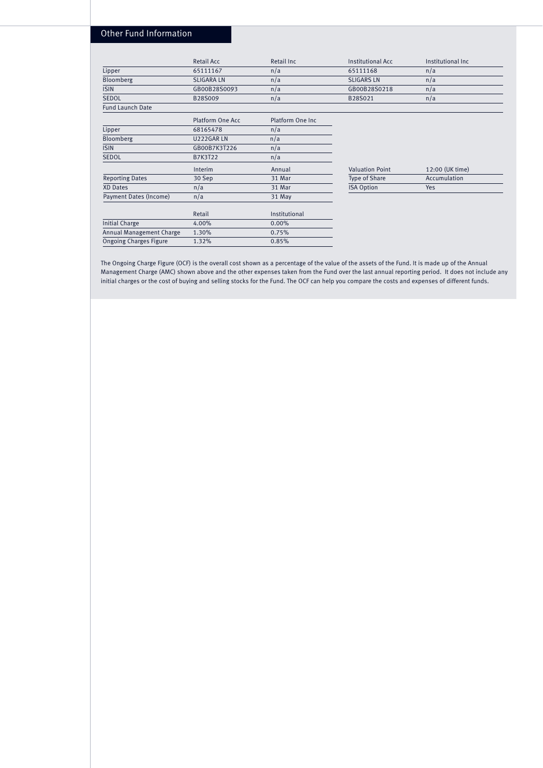### Other Fund Information

|                               | Retail Acc        | Retail Inc       | <b>Institutional Acc</b> | Institutional Inc. |
|-------------------------------|-------------------|------------------|--------------------------|--------------------|
| Lipper                        | 65111167          | n/a              | 65111168                 | n/a                |
| Bloomberg                     | <b>SLIGARA LN</b> | n/a              | <b>SLIGARS LN</b>        | n/a                |
| <b>ISIN</b>                   | GB00B28S0093      | n/a              | GB00B28S0218             | n/a                |
| <b>SEDOL</b>                  | B28S009           | n/a              | B28S021                  | n/a                |
| <b>Fund Launch Date</b>       |                   |                  |                          |                    |
|                               | Platform One Acc  | Platform One Inc |                          |                    |
| Lipper                        | 68165478          | n/a              |                          |                    |
| Bloomberg                     | U222GAR LN        | n/a              |                          |                    |
| <b>ISIN</b>                   | GB00B7K3T226      | n/a              |                          |                    |
| <b>SEDOL</b>                  | B7K3T22           | n/a              |                          |                    |
|                               | Interim           | Annual           | <b>Valuation Point</b>   | 12:00 (UK time)    |
| <b>Reporting Dates</b>        | 30 Sep            | 31 Mar           | Type of Share            | Accumulation       |
| XD Dates                      | n/a               | 31 Mar           | <b>ISA Option</b>        | Yes                |
| Payment Dates (Income)        | n/a               | 31 May           |                          |                    |
|                               | Retail            | Institutional    |                          |                    |
| <b>Initial Charge</b>         | 4.00%             | 0.00%            |                          |                    |
| Annual Management Charge      | 1.30%             | 0.75%            |                          |                    |
| <b>Ongoing Charges Figure</b> | 1.32%             | 0.85%            |                          |                    |

The Ongoing Charge Figure (OCF) is the overall cost shown as a percentage of the value of the assets of the Fund. It is made up of the Annual Management Charge (AMC) shown above and the other expenses taken from the Fund over the last annual reporting period. It does not include any initial charges or the cost of buying and selling stocks for the Fund. The OCF can help you compare the costs and expenses of different funds.